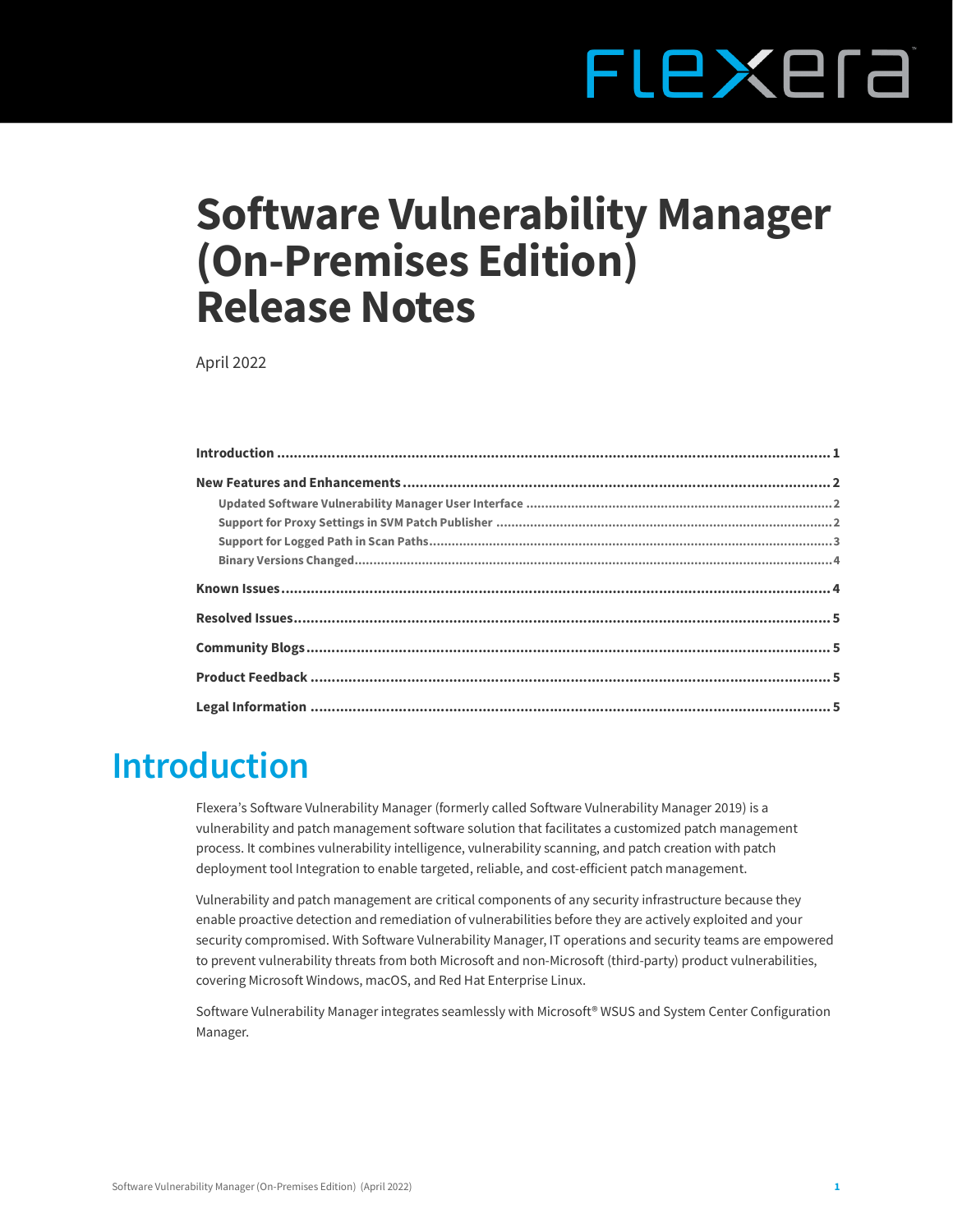# FLEXERE

# **Software Vulnerability Manager (On-Premises Edition) Release Notes**

April 2022

# <span id="page-0-0"></span>**Introduction**

Flexera's Software Vulnerability Manager (formerly called Software Vulnerability Manager 2019) is a vulnerability and patch management software solution that facilitates a customized patch management process. It combines vulnerability intelligence, vulnerability scanning, and patch creation with patch deployment tool Integration to enable targeted, reliable, and cost-efficient patch management.

Vulnerability and patch management are critical components of any security infrastructure because they enable proactive detection and remediation of vulnerabilities before they are actively exploited and your security compromised. With Software Vulnerability Manager, IT operations and security teams are empowered to prevent vulnerability threats from both Microsoft and non-Microsoft (third-party) product vulnerabilities, covering Microsoft Windows, macOS, and Red Hat Enterprise Linux.

Software Vulnerability Manager integrates seamlessly with Microsoft® WSUS and System Center Configuration Manager.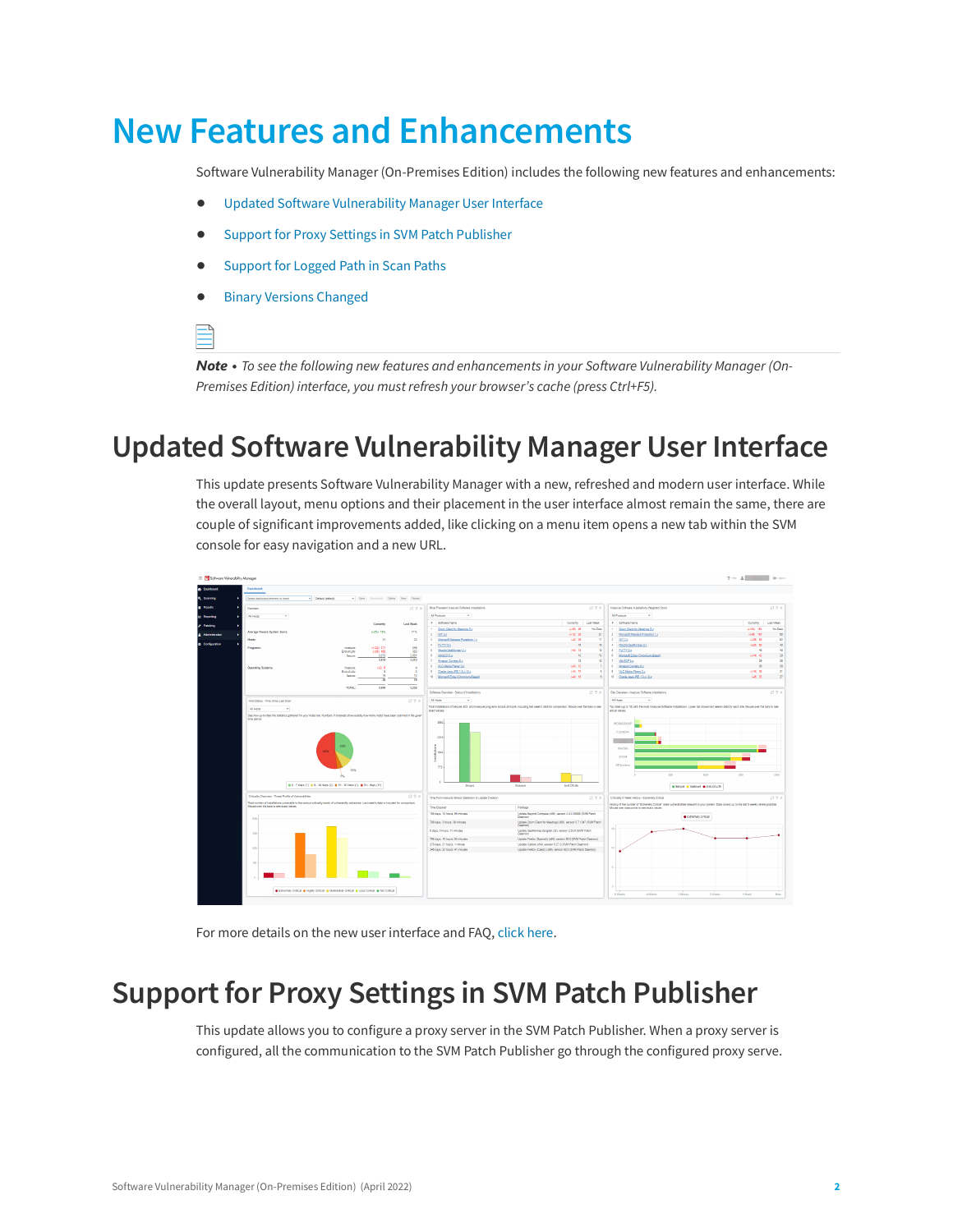# <span id="page-1-0"></span>**New Features and Enhancements**

Software Vulnerability Manager (On-Premises Edition) includes the following new features and enhancements:

- **•** [Updated Software Vulnerability Manager User Interface](#page-1-1)
- **•** [Support for Proxy Settings in SVM Patch Publisher](#page-1-2)
- **•** [Support for Logged Path in Scan Paths](#page-2-0)
- **•** [Binary Versions Changed](#page-3-0)

*Note • To see the following new features and enhancements in your Software Vulnerability Manager (On-Premises Edition) interface, you must refresh your browser's cache (press Ctrl+F5).*

#### <span id="page-1-1"></span>**Updated Software Vulnerability Manager User Interface**

This update presents Software Vulnerability Manager with a new, refreshed and modern user interface. While the overall layout, menu options and their placement in the user interface almost remain the same, there are couple of significant improvements added, like clicking on a menu item opens a new tab within the SVM console for easy navigation and a new URL.



For more details on the new user interface and FAQ, [click here.](https://community.flexera.com/t5/Software-Vulnerability/SVM-User-Interface-FAQ/ba-p/215480)

#### <span id="page-1-2"></span>**Support for Proxy Settings in SVM Patch Publisher**

This update allows you to configure a proxy server in the SVM Patch Publisher. When a proxy server is configured, all the communication to the SVM Patch Publisher go through the configured proxy serve.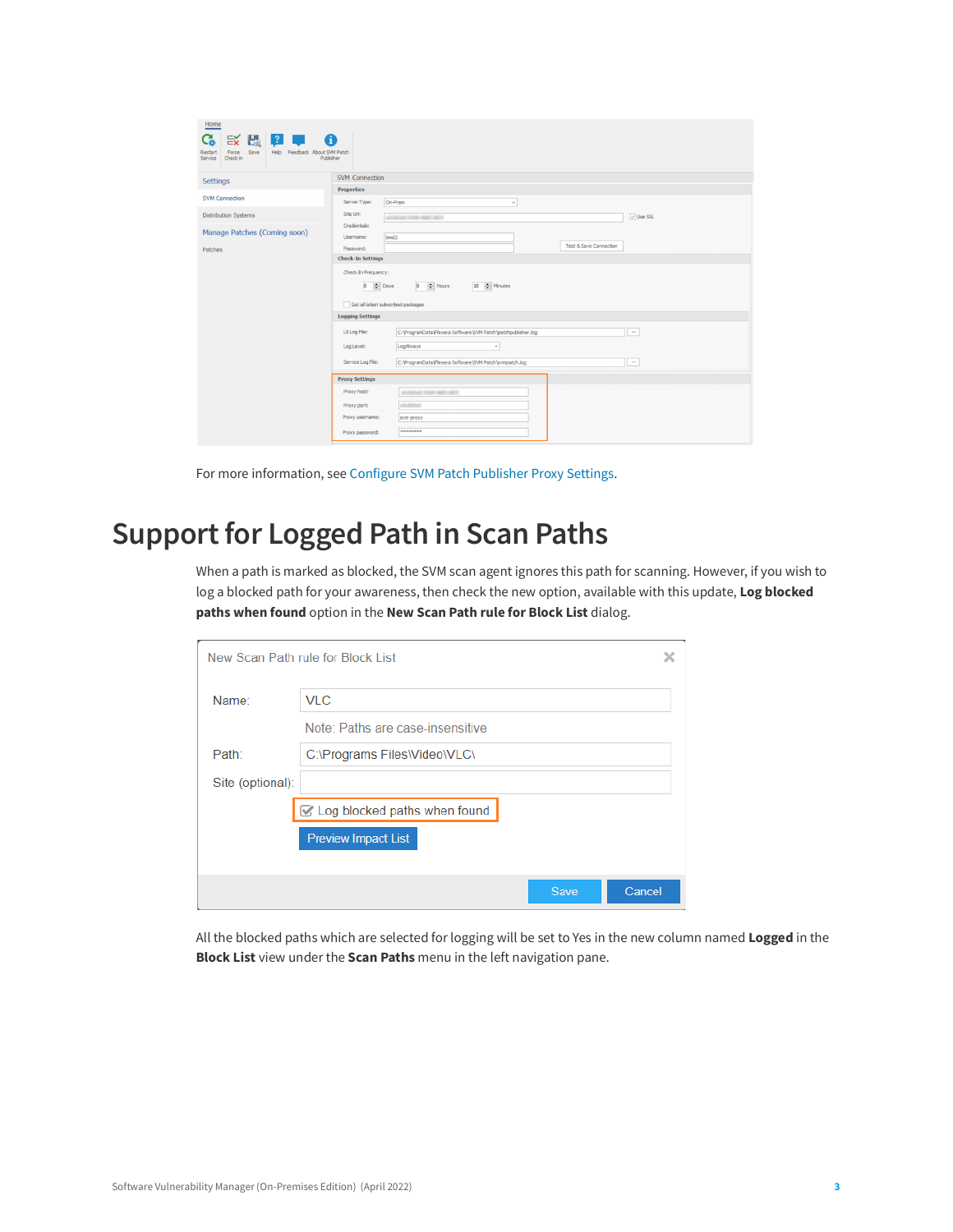| Home<br>改图图中<br>C.<br>$\mathbf \Omega$<br>Save<br>Help Feedback About SVM Patch<br>Restart<br>Force<br>Publisher<br>Service<br>Check-in |                                                                                                                                 |
|-----------------------------------------------------------------------------------------------------------------------------------------|---------------------------------------------------------------------------------------------------------------------------------|
| <b>Settings</b>                                                                                                                         | <b>SVM Connection</b>                                                                                                           |
| <b>SVM Connection</b>                                                                                                                   | <b>Properties</b>                                                                                                               |
|                                                                                                                                         | On-Prem<br>Server Type:<br>$\scriptstyle\rm v$                                                                                  |
| <b>Distribution Systems</b>                                                                                                             | Site Url:<br>$\overline{\vee}$ Use SSL<br>all delux man was ago.                                                                |
| Manage Patches (Coming soon)                                                                                                            | Credentials:                                                                                                                    |
|                                                                                                                                         | bmd2<br>Username:<br><b>Test &amp; Save Connection</b>                                                                          |
| Patches                                                                                                                                 | Password:<br><b>Check-In Settings</b>                                                                                           |
|                                                                                                                                         |                                                                                                                                 |
|                                                                                                                                         | Check-In Frequency:<br>$0$ $\div$ Hours<br>10 - Minutes<br>$0 \quad \Leftrightarrow$ Days<br>Get all latest subscribed packages |
|                                                                                                                                         | <b>Logging Settings</b>                                                                                                         |
|                                                                                                                                         | UI Log File:<br>C: \ProgramData\Flexera Software\SVM Patch\patchpublisher.log<br>$\cdots$                                       |
|                                                                                                                                         | LogAlways<br>Log Level:<br>$\;$                                                                                                 |
|                                                                                                                                         | C:\ProgramData\Flexera Software\SVM Patch\svmpatch.log<br>Service Log File:<br>$\cdots$                                         |
|                                                                                                                                         | <b>Proxy Settings</b>                                                                                                           |
|                                                                                                                                         | Proxy host:<br>all detail that want and                                                                                         |
|                                                                                                                                         | Proxy port:<br>all products                                                                                                     |
|                                                                                                                                         | Proxy username:<br>svm-proxy                                                                                                    |
|                                                                                                                                         | ********<br>Proxy password:                                                                                                     |

For more information, see [Configure SVM Patch Publisher Proxy Settings.](https://docs.flexera.com/csionprem/Content/helplibrary/Configure_SVM_Patch_Publisher_Proxy_Settings.htm)

#### <span id="page-2-0"></span>**Support for Logged Path in Scan Paths**

When a path is marked as blocked, the SVM scan agent ignores this path for scanning. However, if you wish to log a blocked path for your awareness, then check the new option, available with this update, **Log blocked paths when found** option in the **New Scan Path rule for Block List** dialog.

|                  | New Scan Path rule for Block List |      |        |
|------------------|-----------------------------------|------|--------|
| Name:            | <b>VLC</b>                        |      |        |
|                  | Note: Paths are case-insensitive  |      |        |
| Path:            | C:\Programs Files\Video\VLC\      |      |        |
| Site (optional): |                                   |      |        |
|                  | ☑ Log blocked paths when found    |      |        |
|                  | <b>Preview Impact List</b>        |      |        |
|                  |                                   |      |        |
|                  |                                   | Save | Cancel |

All the blocked paths which are selected for logging will be set to Yes in the new column named **Logged** in the **Block List** view under the **Scan Paths** menu in the left navigation pane.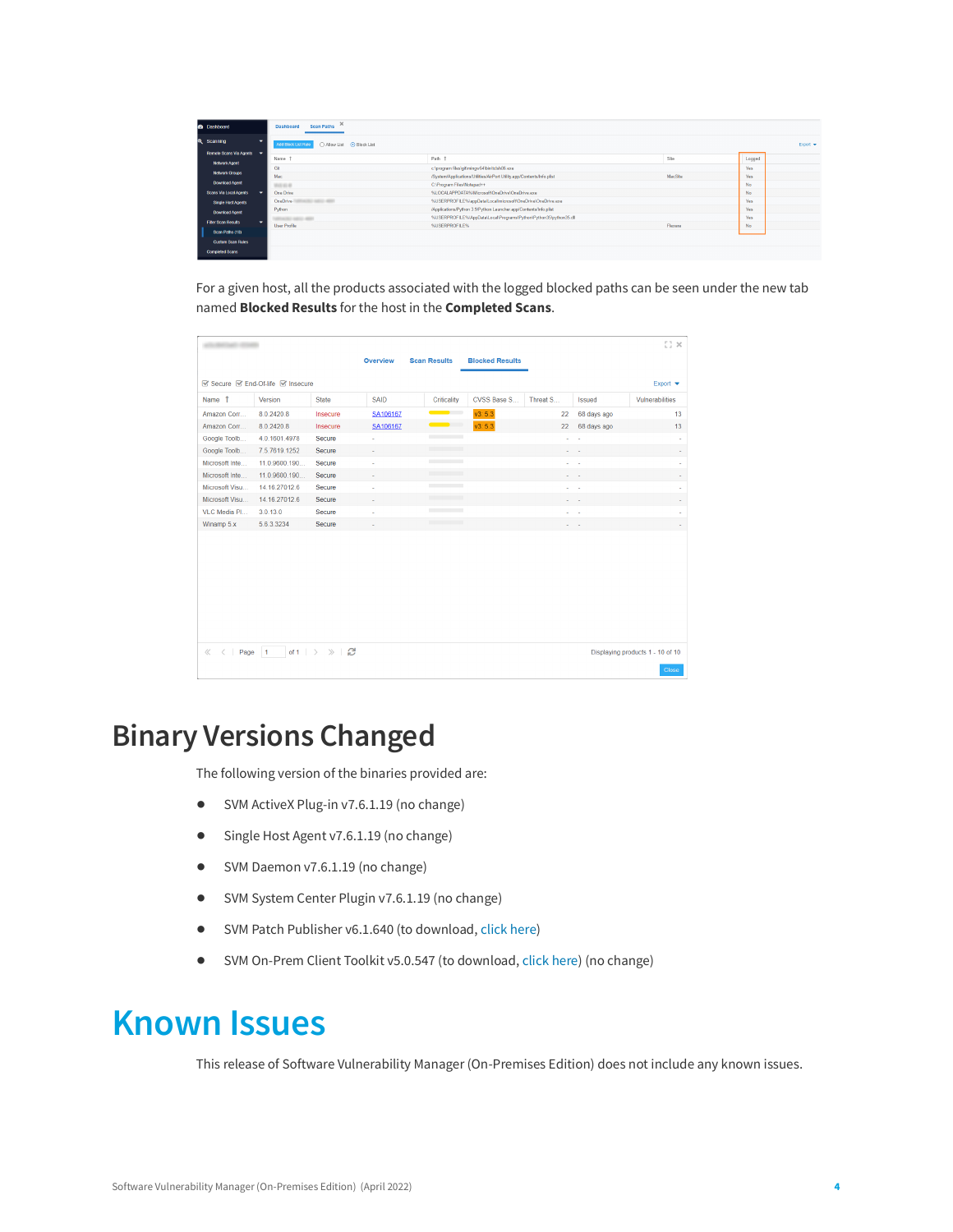| <b>B</b> Dashboard              | Scan Paths<br><b>Dashboard</b>                    |                                                                        |                |        |          |
|---------------------------------|---------------------------------------------------|------------------------------------------------------------------------|----------------|--------|----------|
| Q Scanning                      | Allow List<br>• Block List<br>Add Block List Rule |                                                                        |                |        | Export = |
| Remote Scans Via Agents -       |                                                   |                                                                        |                |        |          |
| Network Agent                   | Name                                              | Path 1                                                                 | Site           | Logged |          |
| Network Groups                  | Git                                               | c:\program files\git\mingw64\bin\tclsh86.exe                           |                | Yes    |          |
|                                 | Mac                                               | /System/Applications/Utilities/AirPort Utility.app/Contents/Info.plist | <b>MacSite</b> | Yes    |          |
| <b>Download Agent</b>           | <b>SEASONS</b>                                    | C:\Program Files\Notepad++                                             |                | No     |          |
| Scans Via Local Agents          | One Drive                                         | %LOCALAPPDATA%/Microsoft/OneDrive/OneDrive.exe                         |                | No     |          |
| Single Host Agents              | <b>SEED ARTS</b><br>OneDrive-                     | %USERPROFILE%\appData\Local\microsoft\OneDrive\OneDrive.exe            |                | Yes    |          |
| Download Agent                  | Python                                            | /Applications/Python 3.9/Python Launcher.app/Contents/Info.plist       |                | Yes    |          |
|                                 | <b>PERSONAL PROPERTY</b>                          | %USERPROFILE%\AppData\Local\Programs\Python\Python35\python35.dll      |                | Yes    |          |
| <b>Filter Scan Results</b><br>۰ | <b>User Profile</b>                               | %USERPROFILE%                                                          | Flexera        | No     |          |
| Scan Paths (10)                 |                                                   |                                                                        |                |        |          |
| <b>Custom Scan Rules</b>        |                                                   |                                                                        |                |        |          |
| Completed Scans                 |                                                   |                                                                        |                |        |          |

For a given host, all the products associated with the logged blocked paths can be seen under the new tab named **Blocked Results** for the host in the **Completed Scans**.

|                            |                               |                                 |             |                          |                        |          |               | $\times$ 10                      |
|----------------------------|-------------------------------|---------------------------------|-------------|--------------------------|------------------------|----------|---------------|----------------------------------|
|                            |                               |                                 | Overview    | <b>Scan Results</b>      | <b>Blocked Results</b> |          |               |                                  |
|                            | Secure SEnd-Of-life Sensecure |                                 |             |                          |                        |          |               | Export $\blacktriangledown$      |
| Name 1                     | Version                       | <b>State</b>                    | <b>SAID</b> | Criticality              | CVSS Base S            | Threat S | <b>Issued</b> | Vulnerabilities                  |
| Amazon Corr                | 8.0.2420.8                    | Insecure                        | SA106167    | <u>and the state</u>     | v3: 5.3                | 22       | 68 days ago   | 13                               |
| Amazon Corr                | 8.0.2420.8                    | Insecure                        | SA106167    | $\sim$ $\sim$            | v3: 5.3                | 22       | 68 days ago   | 13                               |
| Google Toolb               | 4.0.1601.4978                 | Secure                          | i,          | <b>Contract Contract</b> |                        |          |               | ٠                                |
| Google Toolb               | 7.5.7619.1252                 | Secure                          | J.          |                          |                        |          |               | ä,                               |
| Microsoft Inte             | 11.0.9600.190                 | Secure                          | ä,          | <b>Contract Contract</b> |                        |          | . .           | ×,                               |
| Microsoft Inte             | 11.0.9600.190                 | Secure                          |             |                          |                        |          |               | ×                                |
| Microsoft Visu             | 14.16.27012.6                 | Secure                          | ä,          |                          |                        | ٠        |               | ٠                                |
| Microsoft Visu             | 14.16.27012.6                 | Secure                          |             |                          |                        | ٠        |               | ٠                                |
| VLC Media Pl               | 3.0.13.0                      | Secure                          |             | <b>Contract Contract</b> |                        |          |               |                                  |
| Winamp 5.x                 | 5.6.3.3234                    | Secure                          |             |                          |                        |          |               | ٠                                |
|                            |                               |                                 |             |                          |                        |          |               |                                  |
|                            |                               |                                 |             |                          |                        |          |               |                                  |
|                            |                               |                                 |             |                          |                        |          |               |                                  |
|                            |                               |                                 |             |                          |                        |          |               |                                  |
|                            |                               |                                 |             |                          |                        |          |               |                                  |
|                            |                               |                                 |             |                          |                        |          |               |                                  |
|                            |                               |                                 |             |                          |                        |          |               |                                  |
|                            |                               |                                 |             |                          |                        |          |               |                                  |
|                            |                               |                                 |             |                          |                        |          |               |                                  |
| Page<br>$\ll$<br>$\hat{<}$ | $\overline{1}$                | of 1 $\rightarrow$ $\gg$ $\Box$ |             |                          |                        |          |               | Displaying products 1 - 10 of 10 |
|                            |                               |                                 |             |                          |                        |          |               | <b>Close</b>                     |

#### <span id="page-3-0"></span>**Binary Versions Changed**

The following version of the binaries provided are:

- **•** SVM ActiveX Plug-in v7.6.1.19 (no change)
- **•** Single Host Agent v7.6.1.19 (no change)
- **•** SVM Daemon v7.6.1.19 (no change)
- **•** SVM System Center Plugin v7.6.1.19 (no change)
- **•** SVM Patch Publisher v6.1.640 (to download, [click here\)](https://resources.flexera.com/tools/SVM/SVMPatchPublisher.msi)
- **•** SVM On-Prem Client Toolkit v5.0.547 (to download, [click here\)](https://resources.flexera.com/tools/SVM/SVMClientToolkitInstall.msi) (no change)

### <span id="page-3-1"></span>**Known Issues**

This release of Software Vulnerability Manager (On-Premises Edition) does not include any known issues.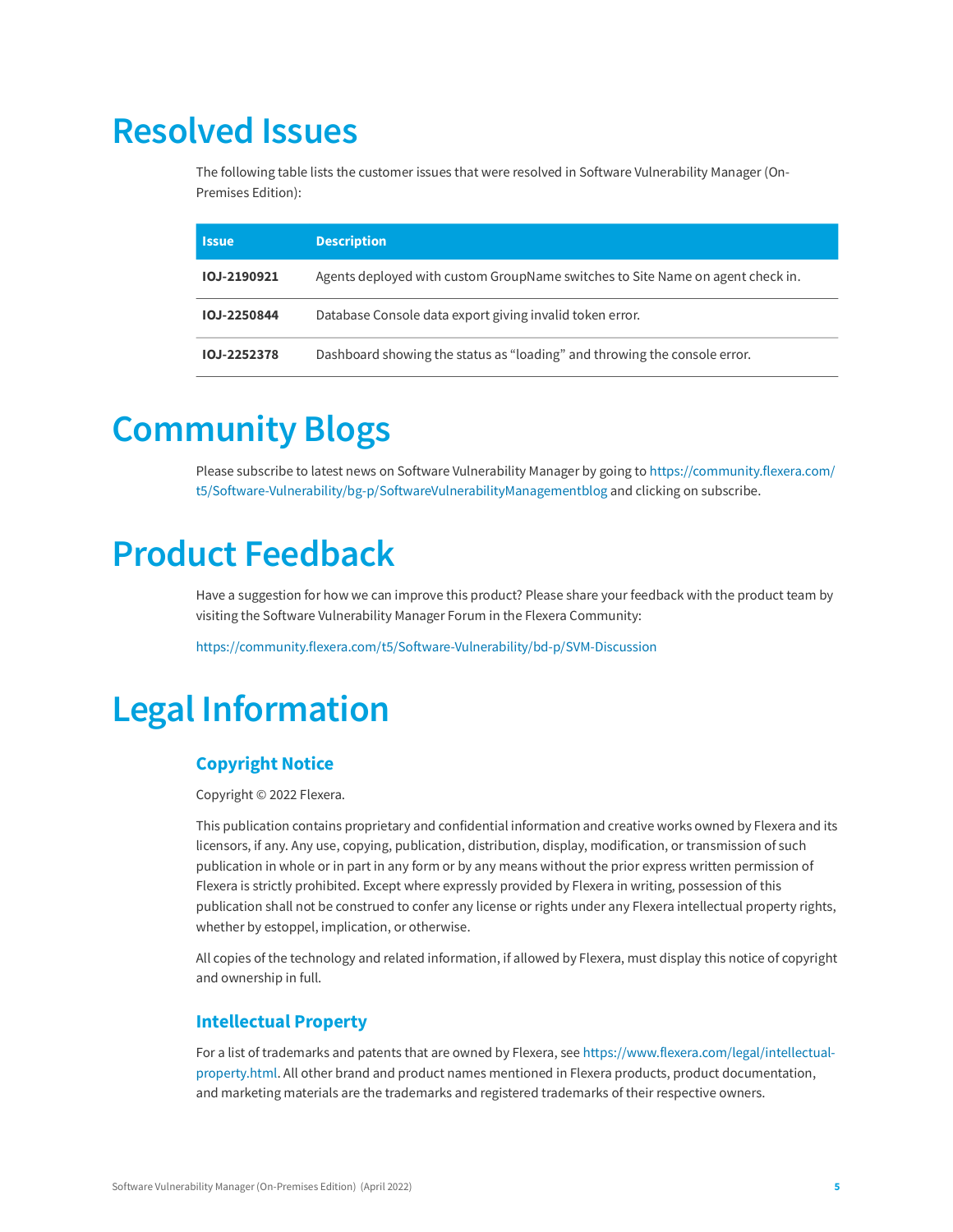## <span id="page-4-0"></span>**Resolved Issues**

The following table lists the customer issues that were resolved in Software Vulnerability Manager (On-Premises Edition):

| <b>Issue</b> | <b>Description</b>                                                             |
|--------------|--------------------------------------------------------------------------------|
| IOJ-2190921  | Agents deployed with custom GroupName switches to Site Name on agent check in. |
| IOJ-2250844  | Database Console data export giving invalid token error.                       |
| IOJ-2252378  | Dashboard showing the status as "loading" and throwing the console error.      |

# <span id="page-4-1"></span>**Community Blogs**

Please subscribe to latest news on Software Vulnerability Manager by going to [https://community.flexera.com/](https://community.flexera.com/t5/Software-Vulnerability/bg-p/SoftwareVulnerabilityManagementblog) [t5/Software-Vulnerability/bg-p/SoftwareVulnerabilityManagementblog](https://community.flexera.com/t5/Software-Vulnerability/bg-p/SoftwareVulnerabilityManagementblog) and clicking on subscribe.

## <span id="page-4-2"></span>**Product Feedback**

Have a suggestion for how we can improve this product? Please share your feedback with the product team by visiting the Software Vulnerability Manager Forum in the Flexera Community:

<https://community.flexera.com/t5/Software-Vulnerability/bd-p/SVM-Discussion>

# <span id="page-4-3"></span>**Legal Information**

#### **Copyright Notice**

Copyright © 2022 Flexera.

This publication contains proprietary and confidential information and creative works owned by Flexera and its licensors, if any. Any use, copying, publication, distribution, display, modification, or transmission of such publication in whole or in part in any form or by any means without the prior express written permission of Flexera is strictly prohibited. Except where expressly provided by Flexera in writing, possession of this publication shall not be construed to confer any license or rights under any Flexera intellectual property rights, whether by estoppel, implication, or otherwise.

All copies of the technology and related information, if allowed by Flexera, must display this notice of copyright and ownership in full.

#### **Intellectual Property**

For a list of trademarks and patents that are owned by Flexera, see [https://www.flexera.com/legal/intellectual](https://www.flexera.com/legal/intellectual-property.html)[property.html](https://www.flexera.com/legal/intellectual-property.html). All other brand and product names mentioned in Flexera products, product documentation, and marketing materials are the trademarks and registered trademarks of their respective owners.